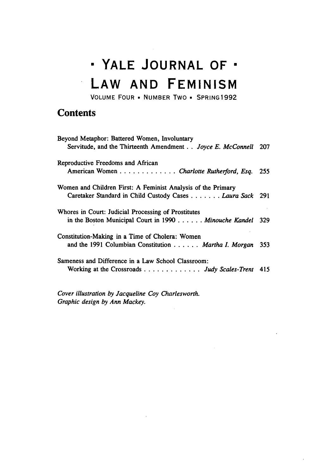## **0 YALE JOURNAL OF" LAW AND FEMINISM**

VOLUME FOUR **- NUMBER** Two • **SPRING 1992**

## **Contents**

 $\frac{1}{\sqrt{2}}$ 

| Beyond Metaphor: Battered Women, Involuntary<br>Servitude, and the Thirteenth Amendment Joyce E. McConnell 207                  |     |
|---------------------------------------------------------------------------------------------------------------------------------|-----|
| Reproductive Freedoms and African                                                                                               |     |
| American Women Charlotte Rutherford, Esq.                                                                                       | 255 |
| Women and Children First: A Feminist Analysis of the Primary<br>Caretaker Standard in Child Custody Cases <i>Laura Sack</i> 291 |     |
| Whores in Court: Judicial Processing of Prostitutes<br>in the Boston Municipal Court in 1990 Minouche Kandel                    | 329 |
| Constitution-Making in a Time of Cholera: Women<br>and the 1991 Columbian Constitution Martha I. Morgan                         | 353 |
| Sameness and Difference in a Law School Classroom:<br>Working at the Crossroads Judy Scales-Trent 415                           |     |

*Cover illustration by Jacqueline Coy Charlesworth. Graphic design by Ann Mackey.*

 $\bar{z}$